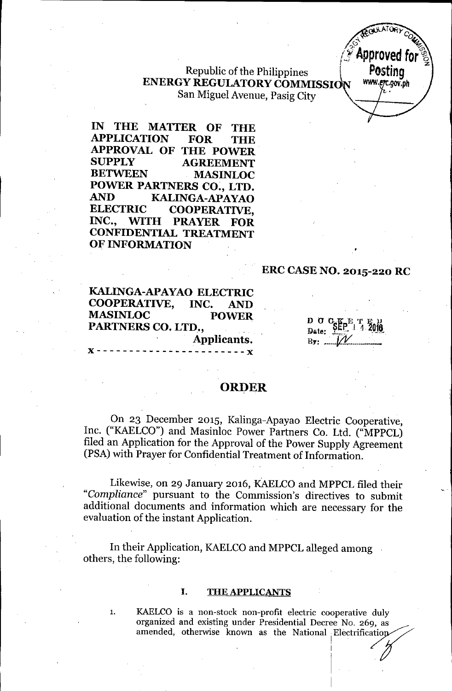Republic of the Philippines ENERGY REGULATORY COMMISSION San Miguel Avenue, Pasig City



IN THE MATTER OF THE APPLICATION FOR THE APPROVAL OF THE POWER SUPPLY AGREEMENT BETWEEN MASINLOC POWER PARTNERS CO., LTD. AND KALINGA-APAYAO<br>ELECTRIC COOPERATIVE COOPERATIVE. INC., WITH PRAYER FOR CONFIDENTIAL TREATMENT OF INFORMATION

# ERC CASE NO. 2015-220 RC

KALINGA-APAYAO ELECTRIC COOPERATIVE, INC. AND MASINLOC POWER, PARTNERS CO. LTD., Applicants.

D 0 CfpE '£ ~ lJ ];I"telL. <sup>I</sup> 1. .OJ!l  $B_{\overline{x}}$ :  $\ldots$   $\angle l$ 

# **ORDER**

On 23 December 2015, Kalinga-Apayao Electric Cooperative, Inc. ("KAELCO") and Masinloc Power Partners Co. Ltd. ("MPPCL) filed an Application for the Approval of the Power Supply Agreement (PSA) with Prayer for Confidential Treatment of Information.

Likewise, on 29 January 2016, KAELCO and MPPCL filed their *"Compliance"* pursuant to the Commission's directives to submit additional documents and information which are necessary for the evaluation of the instant Application.

In their Application, KAELCO and MPPCL alleged among others, the following:

### I. THE APPLICANTS

1. KAELCO is a non-stock non-profit electric cooperative duly organized and existing under Presidential Decree No. 269, as amended, otherwise known as the National Electrification

. In the contract of the contract of the contract of the contract of the contract of the contract of the contract of

. I. I. S. March 1994. In the second state of the

i .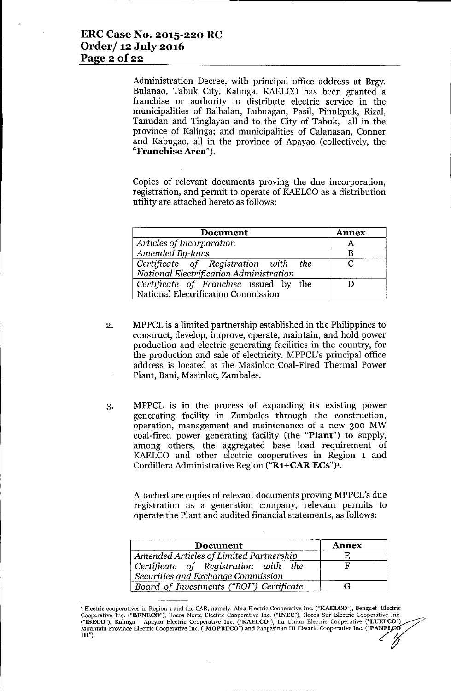Administration Decree, with principal office address at Brgy. Bulanao, Tabuk City, Kalinga. KAELCO has been granted a franchise or authority to distribute electric service in the municipalities of Balbalan, Lubuagan, Pasil, Pinukpuk, Rizal, Tanudan and Tinglayan and to the City of Tabuk, all in the province of Kalinga; and municipalities of Calanasan, Conner and Kabugao, all in the province of Apayao (collectively, the "Franchise Area").

Copies of relevant documents proving the due incorporation, registration, and permit to operate of KAELCO as a distribution utility are attached hereto as follows:

| <b>Document</b>                         | <b>Annex</b> |
|-----------------------------------------|--------------|
| Articles of Incorporation               |              |
| Amended By-laws                         |              |
| Certificate of Registration with the    |              |
| National Electrification Administration |              |
| Certificate of Franchise issued by the  |              |
| National Electrification Commission     |              |

- 2. MPPCL is a limited partnership established in the Philippines to construct, develop, improve, operate, maintain, and hold power production and electric generating facilities in the country, for the production and sale of electricity. MPPCL's principal office address is located at the Masinloc Coal-Fired Thermal Power Plant, Bani, Masinloc, Zambales.
- 3. MPPCL is in the process of expanding its existing power generating facility in Zambales through the construction, operation, management and maintenance of a new 300 MW coal-fired power generating facility (the "Plant") to supply, among others, the aggregated base load requirement of KAELCO and other electric cooperatives in Region 1 and Cordillera Administrative Region ("R1+CAR ECs")<sup>1</sup>.

Attached are copies of relevant documents proving MPPCL's due registration as a generation company, relevant permits to operate the Plant and audited financial statements, as follows:

| <b>Document</b>                                                            | <b>Annex</b> |
|----------------------------------------------------------------------------|--------------|
| Amended Articles of Limited Partnership                                    |              |
| Certificate of Registration with the<br>Securities and Exchange Commission |              |
| Board of Investments ("BOI") Certificate                                   |              |

<sup>&</sup>lt;sup>1</sup> Electric cooperatives in Region 1 and the CAR, namely: Abra Electric Cooperative Inc. ("KAELCO"), Benguet Electric Cooperative Inc. ("BENECO"), Ilocos Norte Electric Cooperative Inc. ("INEC"), Ilocos Sur Electric Cooperative Inc. ("ISECO"), Kalinga - Apayao Electric Cooperative Inc. ("KAELCO"), La Union Electric Cooperative ("LUELCO") Mountain Province Electric Cooperative Inc. ("MOPRECO") and Pangasinan III Electric Cooperative Inc. ("PANEL III").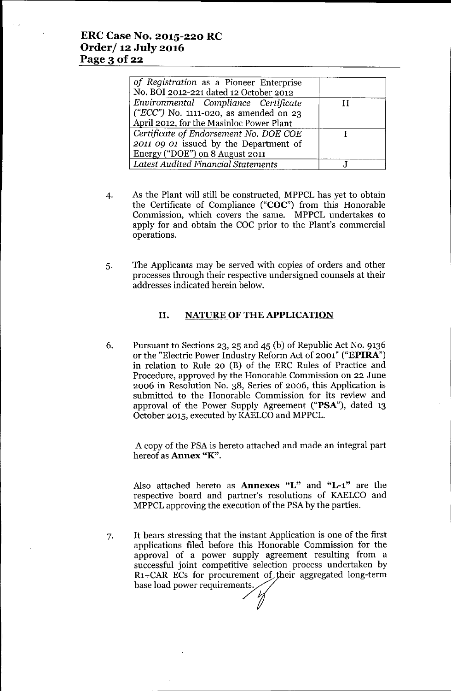## **ERC Case No. 2015-220 RC Order/ 12 July 2016** Page 3 **Of22**

| of Registration as a Pioneer Enterprise<br>No. BOI 2012-221 dated 12 October 2012                                          |   |
|----------------------------------------------------------------------------------------------------------------------------|---|
| Environmental Compliance Certificate<br>("ECC") No. 1111-020, as amended on 23<br>April 2012, for the Masinloc Power Plant | H |
| Certificate of Endorsement No. DOE COE<br>2011-09-01 issued by the Department of<br>Energy ("DOE") on 8 August 2011        |   |
| <b>Latest Audited Financial Statements</b>                                                                                 |   |

- 4. As the Plant will still be constructed, MPPCL has yet to obtain the Certificate of Compliance ("COC") from this Honorable Commission, which covers the same. MPPCL undertakes to apply for and obtain the COC prior to the Plant's commercial operations.
- 5. The Applicants may be served with copies of orders and other processes through their respective undersigned counsels at their addresses indicated herein below.

## **II. NATURE OF THE APPLICATION**

6. Pursuant to Sections 23, 25 and 45 (b) of Republic Act No. 9136 or the "Electric Power Industry Reform Act of 2001" ("EPlRA") in relation to Rule 20 (B) of the ERC Rules of Practice and Procedure, approved by the Honorable Commission on 22 June 2006 in Resolution No. 38, Series of 2006, this Application is submitted to the Honorable Commission for its review and approval of the Power Supply Agreement ("PSA"), dated 13 October 2015, executed by KAELCOand MPPCL.

A copy of the PSAis hereto attached and made an integral part hereof as **Annex** "K".

Also attached hereto as **Annexes** "L" and **"L-l"** are the respective board and partner's resolutions of KAELCO and MPPCL approving the execution of the PSAby the parties.

7. It bears stressing that the instant Application is one of the first applications filed before this Honorable Commission for the approval of a power supply agreement resulting from a successful joint competitive selection process undertaken by R1+CAR ECs for procurement of their aggregated long-term<br>base load power requirements.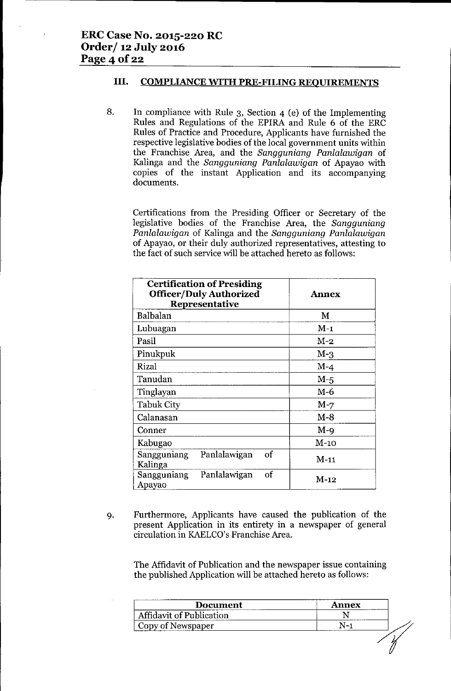## **III. COMPLIANCEWITH PRE-FILING REOUIREMENTS**

8. In compliance with Rule 3, Section 4 (e) of the Implementing Rules and Regulations of the EPIRA and Rule 6 of the ERC Rules of Practice and Procedure, Applicants have furnished the respective legislative bodies of the local government units within the Franchise Area, and the *Sangguniang Panlalawigan* of Kalinga and the *Sangguniang Panlalawigan* of Apayao with copies of the instant Application and its accompanying documents.

Certifications from the Presiding Officer or Secretary of the legislative bodies of the Franchise Area, the *Sangguniang Panlalawigan* of Kalinga and the *Sangguniang Panlalawigan* of Apayao, or their duly authorized representatives, attesting to the fact of such service will be attached hereto as follows:

| <b>Certification of Presiding</b><br><b>Officer/Duly Authorized</b><br>Representative | <b>Annex</b> |
|---------------------------------------------------------------------------------------|--------------|
| Balbalan                                                                              | М            |
| Lubuagan                                                                              | $M-1$        |
| Pasil                                                                                 | $M-2$        |
| Pinukpuk                                                                              | $M-3$        |
| Rizal                                                                                 | $M-4$        |
| Tanudan                                                                               | $M-5$        |
| Tinglayan                                                                             | $M-6$        |
| <b>Tabuk City</b>                                                                     | $M-7$        |
| Calanasan                                                                             | M-8          |
| Conner                                                                                | $M - Q$      |
| Kabugao                                                                               | $M-10$       |
| of<br>Sangguniang<br>Panlalawigan<br>Kalinga                                          | M-11         |
| of<br>Sangguniang<br>Panlalawigan<br>Apayao                                           | M-12         |

9. Furthermore, Applicants have caused the publication of the present Application in its entirety in a newspaper of general circulation in KAELCO's Franchise Area.

The Affidavit of Publication and the newspaper issue containing the published Application will be attached hereto as follows:

| <b>Document</b>                 | <b>Annex</b> |
|---------------------------------|--------------|
| <b>Affidavit of Publication</b> |              |
| Copy of Newspaper               |              |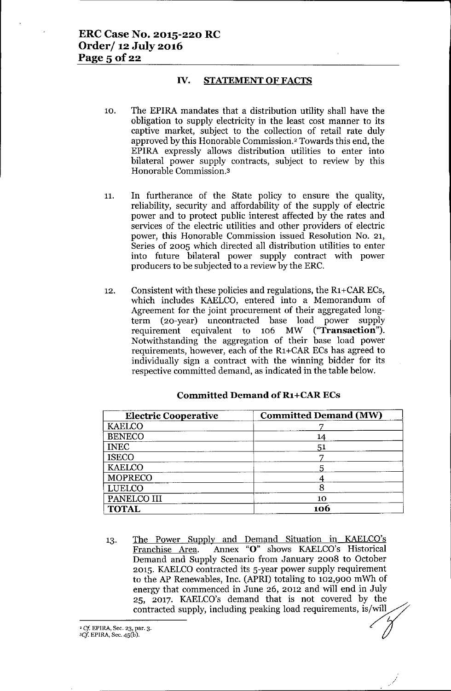#### IV. STATEMENT OF FACTS

- 10. The EPIRA mandates that a distribution utility shall have the obligation to supply electricity in the least cost manner to its captive market, subject to the collection of retail rate duly approved by this Honorable Commission.<sup>2</sup> Towards this end, the EPIRA expressly allows distribution utilities to enter into bilateral power supply contracts, subject to review by this Honorable Commission.3
- 11. In furtherance of the State policy to ensure the quality, reliability, security and affordability of the supply of electric power and to protect public interest affected by the rates and services of the electric utilities and other providers of electric power, this Honorable Commission issued Resolution No. 21, Series of 2005 which directed all distribution utilities to enter into future bilateral power supply contract with power producers to be subjected to a review by the ERC.
- 12. Consistent with these policies and regulations, the  $R_1 + CAR \, ECs$ , which includes KAELCO, entered into a Memorandum of Agreement for the joint procurement of their aggregated longterm (20-year) uncontracted base load power supply<br>requirement equivalent to 106 MW ("**Transaction**"). requirement equivalent to  $106$  MW Notwithstanding the aggregation of their base load power requirements, however, each of the R1+CAR ECs has agreed to individually sign a contract with the winning bidder for its respective committed demand, as indicated in the table below.

| <b>Electric Cooperative</b> | <b>Committed Demand (MW)</b> |  |
|-----------------------------|------------------------------|--|
| <b>KAELCO</b>               |                              |  |
| <b>BENECO</b>               | 14                           |  |
| <b>INEC</b>                 | 51                           |  |
| <b>ISECO</b>                |                              |  |
| <b>KAELCO</b>               | 5                            |  |
| <b>MOPRECO</b>              |                              |  |
| LUELCO                      |                              |  |
| PANELCO III                 | 10                           |  |
| <b>TOTAL</b>                | 106                          |  |

#### Committed Demand of R1+CARECs

13. The Power Supply and Demand Situation in KAELCO's Franchise Area. Annex "0" shows KAELCO's Historical Demand and Supply Scenario from January 2008 to October 2015. KAELCO contracted its 5-year power supply requirement to the AP Renewables, Inc. (APRI) totaling to 102,900 mWh of energy that commenced in June 26, 2012 and will end in July 25, 2017. KAELCO's demand that is not covered by the contracted supply, including peaking load requirements, is/will

/

<sup>2</sup> *Cj.* EPIRA, Sec. 23, par. 3. *'Cf* EPlRA, Sec. 4S(b).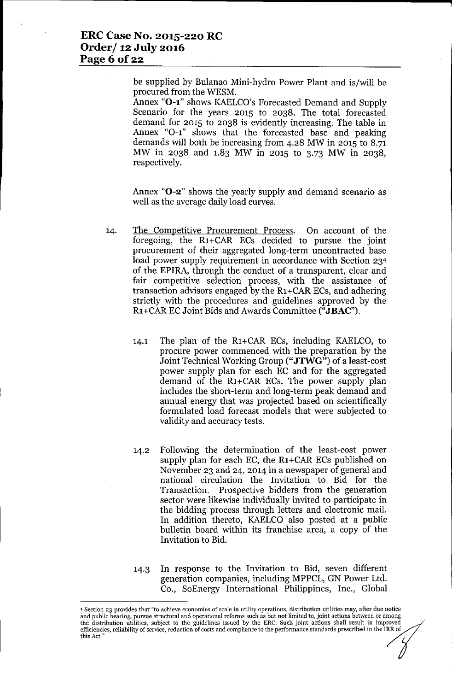be supplied by Bulanao Mini-hydro Power Plant and is/will be procured from the WESM.

Annex "O-1" shows KAELCO's Forecasted Demand and Supply Scenario for the years 2015 to 2038. The total forecasted demand for 2015 to 2038 is evidently increasing. The table in Annex "0-1" shows that the forecasted base and peaking demands will both be increasing from 4.28 MW in 2015 to 8.71 MW in 2038 and 1.83 MW in 2015 to 3.73 MW in 2038, respectively.

Annex "**O-2**" shows the yearly supply and demand scenario as well as the average daily load curves.

- 14. The Competitive Procurement Process. On account of the foregoing, the R1+CAR ECs decided to pursue the joint procurement of their aggregated long-term uncontracted base load power supply requirement in accordance with Section 234 of the EPIRA, through the conduct of a transparent, clear and fair competitive selection process, with the assistance of transaction advisors engaged by the R1+CARECs, and adhering strictly with the procedures and guidelines approved by the R1+CARECJoint Bids and Awards Committee ("JBAC").
	- 14.1 The plan of the R1+CAR ECs, including KAELCO, to procure power commenced with the preparation by the Joint Technical Working Group ("JTWG") of a least-cost power supply plan for each EC and for the aggregated demand of the R1+CAR ECs. The power supply plan includes the short-term and long-term peak demand and annual energy that was projected based on scientifically formulated load forecast models that were subjected to validity and accuracy tests.
	- 14.2 Following the determination of the least-cost power supply plan for each EC, the R1+CAR ECs published on November 23 and 24, 2014 in a newspaper of general and national circulation the Invitation to Bid for the Transaction. Prospective bidders from the generation sector were likewise individually invited to participate in the bidding process through letters and electronic mail. In addition thereto, KAELCO also posted at a public bulletin board within its franchise area, a copy of the Invitation to Bid.
	- 14.3 In response to the Invitation to Bid, seven different generation companies, including MPPCL, GN Power Ltd. Co., SoEnergy International Philippines, Inc., Global

<sup>4</sup> Section 23 provides that "to achieve economies of scale in utility operations, distribution utilities may, after due notice and public hearing, pursue structural and operational reforms such as but not limited to, joint actions between or among the distribution utilities, subject to the guidelines issued by the ERC. Such joint actions shall result in improved efficiencies, reliability of service, reduction of costs and compliance to the performance standards prescribed in the IRR of this Act,"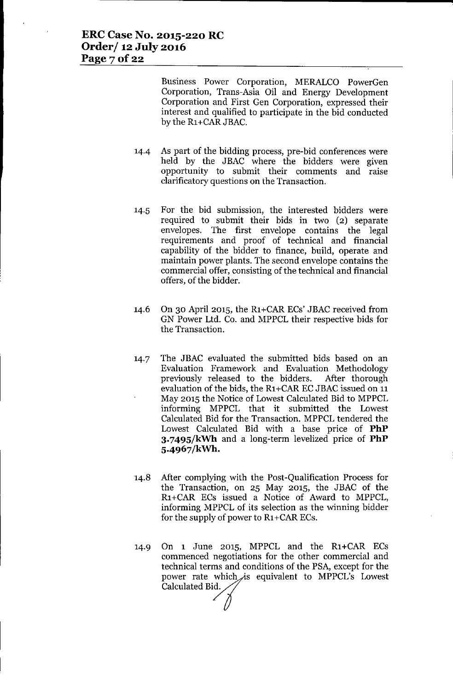Business Power Corporation, MERALCO PowerGen Corporation, Trans-Asia Oil and Energy Development Corporation and First Gen Corporation, expressed their interest and qualified to participate in the bid conducted by the R1+CARJBAC.

- 14-4 As part of the bidding process, pre-bid conferences were held by the JBAC where the bidders were given opportunity to submit their comments and raise clarificatory questions on the Transaction.
- 14.5 For the bid submission, the interested bidders were required to submit their bids in two (2) separate envelopes. The first envelope contains the legal requirements and proof of technical and financial capability of the bidder to finance, build, operate and maintain power plants. The second envelope contains the commercial offer, consisting of the technical and financial offers, of the bidder.
- 14.6 On 30 April 2015, the R1+CARECs' JBAC received from GN Power Ltd. Co. and MPPCL their respective bids for the Transaction.
- 14.7 The JBAC evaluated the submitted bids based on an Evaluation Framework and Evaluation Methodology previously released to the bidders. After thorough evaluation of the bids, the R1+CAR EC JBAC issued on 11 May 2015 the Notice of Lowest Calculated Bid to MPPCL informing MPPCL that it submitted the Lowest Calculated Bid for the Transaction. MPPCL tendered the Lowest Calculated Bid with a base price of **PhP 3.7495/kWh** and a long-term levelized price of **PhP 5.4967/kWh.**
- 14.8 After complying with the Post-Qualification Process for the Transaction, on 25 May 2015, the JBAC of the R1+CAR ECs issued a Notice of Award to MPPCL, informing MPPCL of its selection as the winning bidder for the supply of power to R1+CARECs.
- 14.9 On 1 June 2015, MPPCL and the R1+CAR ECs commenced negotiations for the other commercial and technical terms and conditions of the PSA, except for the power rate which is equivalent to MPPCL's Lowest Calculated Bid.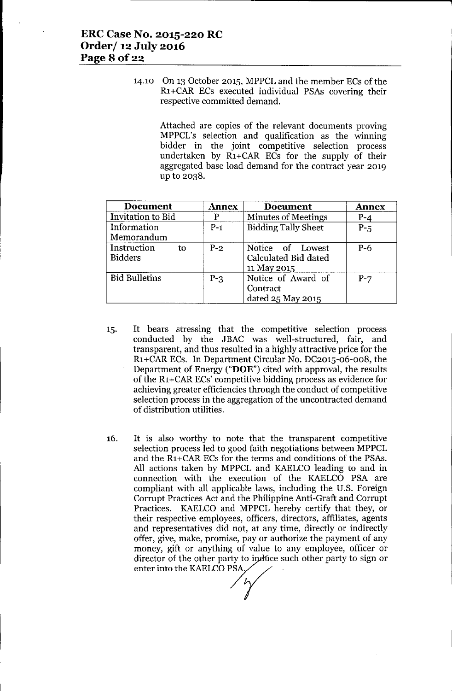14.10 On 13 October 2015, MPPCL and the member ECs of the R1+CAR ECs executed individual PSAs covering their respective committed demand.

> Attached are copies of the relevant documents proving MPPCL's selection and qualification as the winning bidder in the joint competitive selection process undertaken by R1+CAR ECs for the supply of their aggregated base load demand for the contract year 2019 up to 2038.

| <b>Document</b>                     | <b>Annex</b> | <b>Document</b>                                         | <b>Annex</b> |
|-------------------------------------|--------------|---------------------------------------------------------|--------------|
| Invitation to Bid                   | P            | <b>Minutes of Meetings</b>                              | $P - 4$      |
| Information<br>Memorandum           | $P-1$        | <b>Bidding Tally Sheet</b>                              | $P-5$        |
| Instruction<br>to<br><b>Bidders</b> | $P-2$        | Notice of Lowest<br>Calculated Bid dated<br>11 May 2015 | $P-6$        |
| <b>Bid Bulletins</b>                | $P - 3$      | Notice of Award of<br>Contract<br>dated 25 May 2015     | $P-7$        |

- 15. It bears stressing that the competitive selection process conducted by the JBAC was well-structured, fair, and transparent, and thus resulted in a highly attractive price for the R1+CAR ECs. In Department Circular No. DC2015-06-008, the Department of Energy ("DOE") cited with approval, the results of the R1+CAR ECs' competitive bidding process as evidence for achieving greater efficiencies through the conduct of competitive selection process in the aggregation of the uncontracted demand of distribution utilities.
- 16. It is also worthy to note that the transparent competitive selection process led to good faith negotiations between MPPCL and the R1+CAR ECs for the terms and conditions of the PSAs. All actions taken by MPPCL and KAELCO leading to and in connection with the execution of the KAELCO PSA are compliant with all applicable laws, including the U.S. Foreign Corrupt Practices Act and the Philippine Anti-Graft and Corrupt Practices. KAELCO and MPPCL hereby certify that they, or their respective employees, officers, directors, affiliates, agents and representatives did not, at any time, directly or indirectly offer, give, make, promise, payor authorize the payment of any money, gift or anything of value to any employee, officer or director of the other party to induce such other party to sign or enter into the KAELCO PSA. their respective employees, office<br>and representatives did not, at a<br>offer, give, make, promise, pay or<br>money, gift or anything of value<br>director of the other party to indet<br>enter into the KAELCO PSA,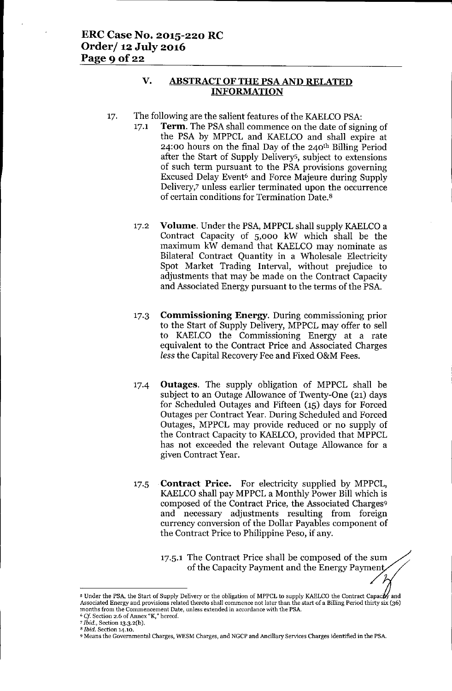## **V. ABSTRACTOFTHE PSAAND RELATED INFORMATION**

- 17. The following are the salient features of the KAELCO PSA:
	- 17.1 **Term.** The PSA shall commence on the date of signing of the PSA by MPPCL and KAELCO and shall expire at 24:00 hours on the final Day of the 240th Billing Period after the Start of Supply Deliverys, subject to extensions of such term pursuant to the PSA provisions governing Excused Delay Event<sup>6</sup> and Force Majeure during Supply Delivery,7 unless earlier terminated upon the occurrence of certain conditions for Termination Date.8
	- 17.2 **Volume.** Under the PSA, MPPCL shall supply KAELCO a Contract Capacity of 5,000 kW which shall be the maximum kW demand that KAELCO may nominate as Bilateral Contract Quantity in a Wholesale Electricity Spot Market Trading Interval, without prejudice to adjustments that may be made on the Contract Capacity and Associated Energy pursuant to the terms of the PSA.
	- 17.3 **Commissioning Energy.** During commissioning prior to the Start of Supply Delivery, MPPCL may offer to sell to KAELCO the Commissioning Energy at a rate equivalent to the Contract Price and Associated Charges *less* the Capital Recovery Fee and Fixed O&M Fees.
	- 17.4 **Outages.** The supply obligation of MPPCL shall be subject to an Outage Allowance of Twenty-One (21) days for Scheduled Outages and Fifteen (15) days for Forced Outages per Contract Year. During Scheduled and Forced Outages, MPPCL may provide reduced or no supply of the Contract Capacity to KAELCO, provided that MPPCL has not exceeded the relevant Outage Allowance for a given Contract Year.
	- 17.5 **Contract Price.** For electricity supplied by MPPCL, KAELCO shall pay MPPCL a Monthly Power Bill which is composed of the Contract Price, the Associated Charges9 and necessary adjustments resulting from foreign currency conversion of the Dollar Payables component of the Contract Price to Philippine Peso, if any.
		- 17.5.1 The Contract Price shall be composed of the sum of the Capacity Payment and the Energy Payment

 $\overline{\mathscr{L}}$ 

<sup>&</sup>lt;sup>5</sup> Under the PSA, the Start of Supply Delivery or the obligation of MPPCL to supply KAELCO the Contract Capacty and Associated Energy and provisions related thereto shall commence not later than the start of a Billing Period thirty six (36) **months from the Commencement Date, unless extended in accordance with the PSA.**

*<sup>6</sup> Cf* **Section 2.6 of Annex "K,"hereof.**

*<sup>7</sup> Ibid.,* **Section 13.3.2(b).**

*<sup>8</sup> Ibid.* **Section 14.10.**

<sup>9</sup> **Means the Governmental Charges, WESM Charges, and NGCP and Ancillary Services Charges identified in the PSA.**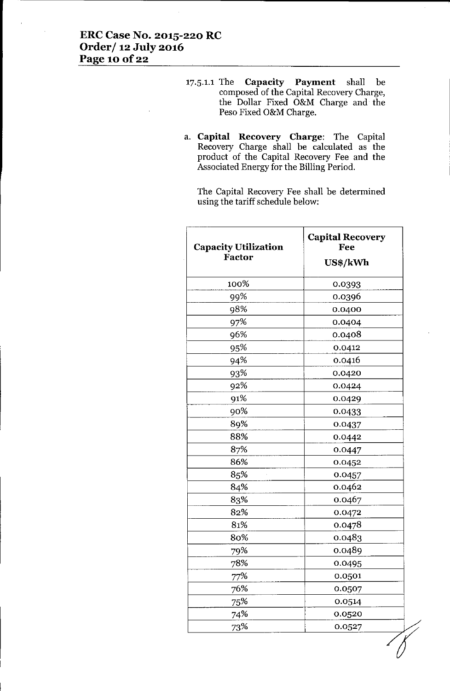- 17.5.1.1 The **Capacity Payment** shall be composed of the Capital Recovery Charge, the Dollar Fixed O&M Charge and the Peso Fixed O&M Charge.
- a. **Capital Recovery Charge:** The Capital Recovery Charge shall be calculated as the product of the Capital Recovery Fee and the Associated Energy for the Billing Period.

The Capital Recovery Fee shall be determined using the tariff schedule below:

| <b>Capacity Utilization</b><br>Factor | <b>Capital Recovery</b><br>Fee<br>US\$/kWh |  |
|---------------------------------------|--------------------------------------------|--|
| 100%                                  | 0.0393                                     |  |
| 99%                                   | 0.0396                                     |  |
| 98%                                   | 0.0400                                     |  |
| 97%                                   | 0.0404                                     |  |
| 96%                                   | 0.0408                                     |  |
| 95%                                   | 0.0412                                     |  |
| 94%                                   | 0.0416                                     |  |
| 93%                                   | 0.0420                                     |  |
| 92%                                   | 0.0424                                     |  |
| 91%                                   | 0.0429                                     |  |
| 90%                                   | 0.0433                                     |  |
| 89%                                   | 0.0437                                     |  |
| 88%                                   | 0.0442                                     |  |
| 87%                                   | 0.0447                                     |  |
| 86%                                   | 0.0452                                     |  |
| 85%                                   | 0.0457                                     |  |
| 84%                                   | 0.0462                                     |  |
| 83%                                   | 0.0467                                     |  |
| 82%                                   | 0.0472                                     |  |
| 81%                                   | 0.0478                                     |  |
| 80%                                   | 0.0483                                     |  |
| 79%                                   | 0.0489                                     |  |
| 78%                                   | 0.0495                                     |  |
| 77%                                   | 0.0501                                     |  |
| 76%                                   | 0.0507                                     |  |
| 75%                                   | 0.0514                                     |  |
| 74%                                   | 0.0520                                     |  |
| 73%                                   | 0.0527                                     |  |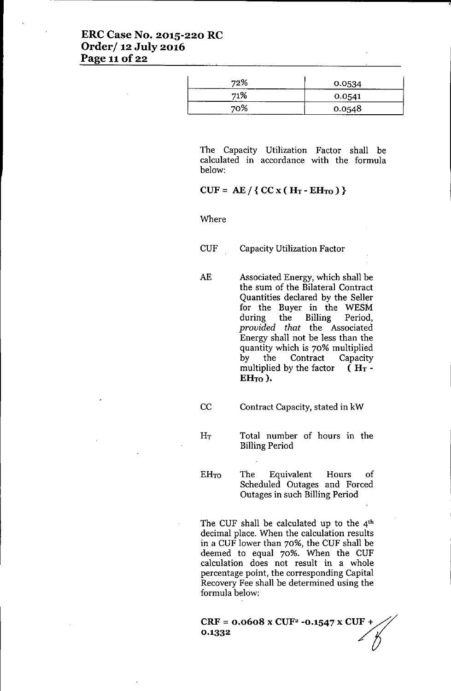# **ERC Case No. 2015-220 RC Order/ 12 July 2016 Page 11** of 22

| 72% | 0.0534 |
|-----|--------|
| 71% | 0.0541 |
| 70% | 0.0548 |

The Capacity Utilization Factor shall be calculated in accordance with the formula below:

## $CUF = AE / \{ CC x ( H_T - EH_{TO} ) \}$

Where

CUF Capacity Utilization Factor

AE Associated Energy, which shall be the sum of the Bilateral Contract Quantities declared by the Seller for the Buyer in the WESM<br>during the Billing Period. the Billing Period, *provided that* the Associated Energy shall not be less than the quantity which is 70% multiplied by the Contract Capacity multiplied by the factor  $(H_T -$ EH<sub>TO</sub>).

CC Contract Capacity, stated in kW

Total number of hours in the  $H_T$ Billing Period

 $EH_{TO}$ The Equivalent Hours of Scheduled Outages and Forced Outages in such Billing Period

The CUF shall be calculated up to the  $4<sup>th</sup>$ decimal place. When the calculation results in a CUF lower than 70%, the CUF shall be deemed to equal 70%. When the CUF calculation does not result in a whole percentage point, the corresponding Capital Recovery Fee shall be determined using the formula below:

**CRF** =  $0.0608 \times \text{CUF}^2 - 0.1547 \times \text{CUF} +$  $CRF = 0.0608 \times CUF^2 -0.1547 \times CUF + 0.1332$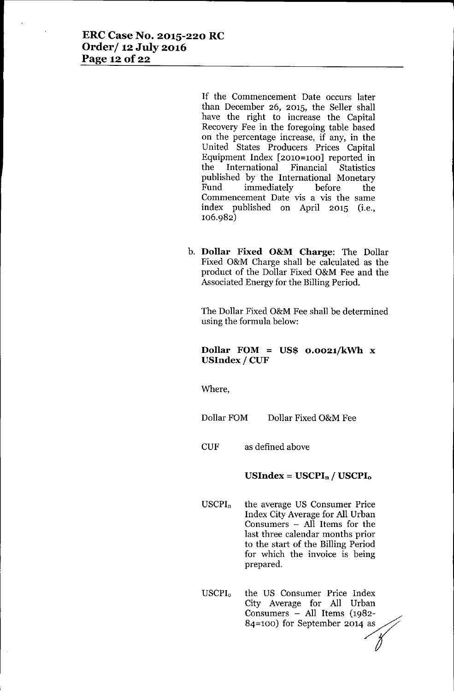If the Commencement Date occurs later than December 26, 2015, the Seller shall have the right to increase the Capital Recovery Fee in the foregoing table based on the percentage increase, if any, in the United States Producers Prices Capital Equipment Index [2010=100] reported in<br>the International Financial Statistics International Financial Statistics published by the International Monetary Fund immediately before the Commencement Date vis a vis the same index published on April 2015 (i.e., 106.982)

b. **Dollar Fixed O&M Charge:** The Dollar Fixed O&M Charge shall be calculated as the product of the Dollar Fixed O&M Fee and the Associated Energy for the Billing Period.

The Dollar Fixed O&M Fee shall be determined using the formula below:

## **Dollar FOM = US\$ O.0021/kWh** x **USIndex / CUF**

Where,

Dollar FOM Dollar Fixed O&M Fee

CUF as defined above

**USIndex = USCPIn / USCPIo**

- $USCPI_n$  the average US Consumer Price Index City Average for All Urban Consumers - All Items for the last three calendar months prior to the start of the Billing Period for which the invoice is being prepared.
- USCPI<sub>0</sub> the US Consumer Price Index City Average for All Urban Consumers - All Items (1982- **88** City Average for All Urban<br>
Consumers – All Items (1982-<br>
84=100) for September 2014 as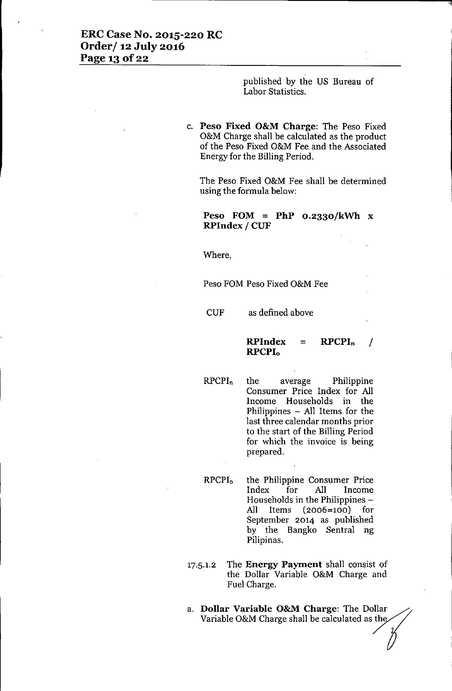published by the US Bureau of Labor Statistics.

c. **Peso Fixed O&M Charge:** The Peso Fixed O&M Charge shall be calculated as the product of the Peso Fixed O&M Fee and the Associated Energy for the Billing Period.

The Peso Fixed O&M Fee shall be determined using the formula below:

**Peso FOM = PhP O.2330/kWh** x **RPIndex / CUF**

Where,

Peso FOM Peso Fixed O&M Fee

CUF as defined above

#### **RPIndex = RPCPI<sup>n</sup> / RPCPIo**

RPCPln the average Philippine Consumer Price Index for All Income Households in the Philippines - All Items for the last three calendar months prior to the start of the Billing Period for which the invoice is being prepared.

RPCPl<sup>o</sup> the Philippine Consumer Price Index for All Income Households in the Philippines - All Items (2006=100) for September 2014 as published by the Bangko Sentral ng Pilipinas.

- 17.5.1.2 The **Energy Payment** shall consist of the Dollar Variable O&M Charge and Fuel Charge.
- a. **Dollar Variable O&M Charge:** The Dollar Variable O&M Charge shall be calculated as the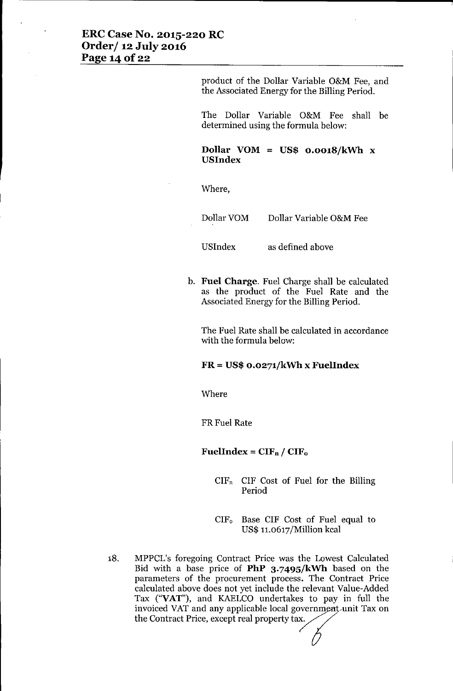## **ERC Case No. 2015-220 RC Order/ 12 July 2016 Page** 14 of 22

product of the Dollar Variable O&M Fee, and the Associated Energy for the Billing Period.

The Dollar Variable O&M Fee shall be determined using the formula below:

**Dollar VOM = US\$ o.o018/kWh** x **USIndex**

Where,

Dollar VOM Dollar Variable O&M Fee

USlndex

as defined above

b. **Fuel Charge.** Fuel Charge shall be calculated as the product of the Fuel Rate and the Associated Energy for the Billing Period.

The Fuel Rate shall be calculated in accordance with the formula below:

#### **FR = US\$ O.0271/kWh x FuelIndex**

Where

FRFuel Rate

#### $FuelIndex = CIF_n / CIF_o$

- $CIF<sub>n</sub>$  CIF Cost of Fuel for the Billing Period
- CIF<sup>o</sup> Base CIF Cost of Fuel equal to US\$ 1l.o617/Million kcal
- 18. MPPCL's foregoing Contract Price was the Lowest Calculated Bid with a base price of **PhP 3.749S/kWh** based on the parameters of the procurement process. The Contract Price calculated above does not yet include the relevant Value-Added Tax ("VAT"), and KAELCO undertakes to pay in full the invoiced VAT and any applicable local government unit Tax on<br>the Contract Price, except real property tax.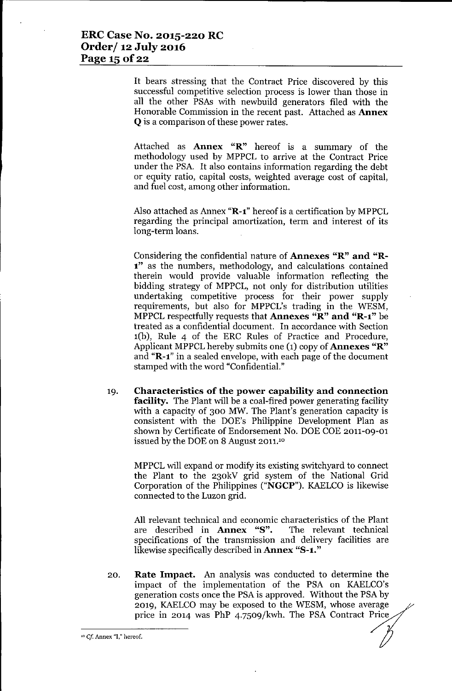It bears stressing that the Contract Price discovered by this successful competitive selection process is lower than those in all the other PSAs with newbuild generators filed with the Honorable Commission in the recent past. Attached as Annex Q is a comparison of these power rates.

Attached as Annex "R" hereof is a summary of the methodology used by MPPCL to arrive at the Contract Price under the PSA. It also contains information regarding the debt or equity ratio, capital costs, weighted average cost of capital, and fuel cost, among other information.

Also attached as Annex "R-1" hereof is a certification by MPPCL regarding the principal amortization, term and interest of its long-term loans.

Considering the confidential nature of Annexes "R" and "R-1" as the numbers, methodology, and calculations contained therein would provide valuable information reflecting the bidding strategy of MPPCL, not only for distribution utilities undertaking competitive process for their power supply requirements, but also for MPPCL's trading in the WESM, MPPCL respectfully requests that Annexes "R" and "R-1" be treated as a confidential document. In accordance with Section l(b), Rule 4 of the ERC Rules of Practice and Procedure, Applicant MPPCL hereby submits one  $(1)$  copy of **Annexes** " $\mathbb{R}$ " and "R-1" in a sealed envelope, with each page of the document stamped with the word "Confidential."

19. Characteristics of the power capability and connection facility. The Plant will be a coal-fired power generating facility with a capacity of 300 MW. The Plant's generation capacity is consistent with the DOE's Philippine Development Plan as shown by Certificate of Endorsement No. DOE COE 2011-09-01 issued by the DOE on 8 August 2011.<sup>10</sup>

MPPCL will expand or modify its existing switchyard to connect the Plant to the 230kV grid system of the National Grid Corporation of the Philippines ("NGCP"). KAELCO is likewise connected to the Luzon grid.

All relevant technical and economic characteristics of the Plant are described in Annex "8". The relevant technical specifications of the transmission and delivery facilities are likewise specifically described in **Annex "S-1."** 

20. Rate Impact. An analysis was conducted to determine the impact of the implementation of the PSA on KAELCO's generation costs once the PSA is approved. Without the PSA by 2019, KAELCO may be exposed to the WESM, whose average price in 2014 was PhP 4.7509/kwh. The PSA Contract Price

<sup>10</sup> *Cf* Annex "I," hereof.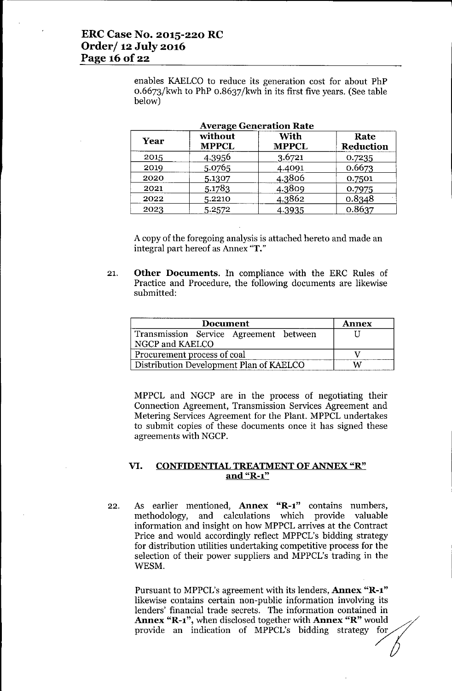enables KAELCO to reduce its generation cost for about PhP 0.6673/kwh to PhP 0.8637/kwh in its first five years. (See table below)

| average ocheration rate |                         |                      |                   |
|-------------------------|-------------------------|----------------------|-------------------|
| Year                    | without<br><b>MPPCL</b> | With<br><b>MPPCL</b> | Rate<br>Reduction |
| 2015                    | 4.3956                  | 3.6721               | 0.7235            |
| 2019                    | 5.0765                  | 4.4091               | 0.6673            |
| 2020                    | 5.1307                  | 4.3806               | 0.7501            |
| 2021                    | 5.1783                  | 4.3809               | 0.7975            |
| 2022                    | 5.2210                  | 4.3862               | 0.8348            |
| 2023                    | 5.2572                  | 4.3935               | 0.8637            |

| <b>Average Generation Rate</b> |
|--------------------------------|
|--------------------------------|

A copy of the foregoing analysis is attached hereto and made an integral part hereof as Annex "T."

21. **Other Documents.** In compliance with the ERC Rules of Practice and Procedure, the following documents are likewise submitted:

| <b>Document</b>                                           | <b>Annex</b> |
|-----------------------------------------------------------|--------------|
| Transmission Service Agreement between<br>NGCP and KAELCO |              |
| Procurement process of coal                               |              |
| Distribution Development Plan of KAELCO                   |              |

MPPCL and NGCP are in the process of negotiating their Connection Agreement, Transmission Services Agreement and Metering Services Agreement for the Plant. MPPCL undertakes to submit copies of these documents once it has signed these agreements with NGCP.

#### **VI. CONFIDENTIALTREATMENTOFANNEX "R" and "R-l"**

22. As earlier mentioned, **Annex "R-l"** contains numbers, methodology, and calculations which provide valuable information and insight on how MPPCL arrives at the Contract Price and would accordingly reflect MPPCL's bidding strategy for distribution utilities undertaking competitive process for the selection of their power suppliers and MPPCL's trading in the WESM.

Pursuant to MPPCL's agreement with its lenders, **Annex "R-l"** likewise contains certain non-public information involving its lenders' financial trade secrets. The information contained in lenders' financial trade secrets. The information contained in<br> **Annex "R-1"**, when disclosed together with **Annex "R"** would<br>
provide an indication of MPPCL's bidding strategy for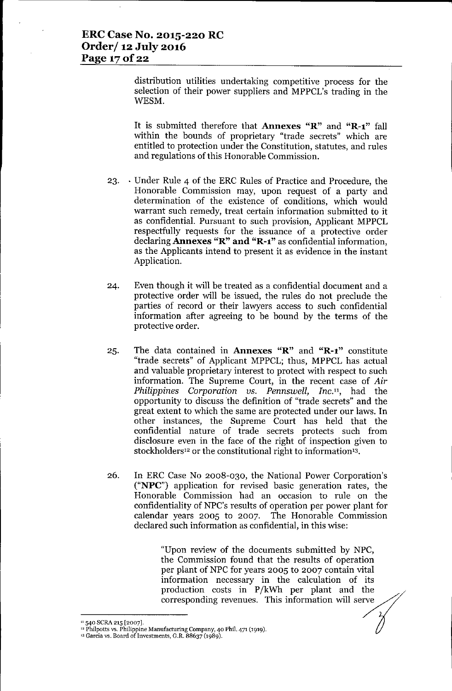distribution utilities undertaking competitive process for the selection of their power suppliers and MPPCL's trading in the WESM.

It is submitted therefore that **Annexes** "R" and "R-1" fall within the bounds of proprietary "trade secrets" which are entitled to protection under the Constitution, statutes, and rules and regulations of this Honorable Commission.

- 23. . Under Rule 4 of the ERC Rules of Practice and Procedure, the Honorable Commission may, upon request of a party and determination of the existence of conditions, which would warrant such remedy, treat certain information submitted to it as confidential. Pursuant to such provision, Applicant MPPCL respectfully requests for the issuance of a protective order declaring Annexes "R" and "R-l" as confidential information, as the Applicants intend to present it as evidence in the instant Application.
- 24. Even though it will be treated as a confidential document and a protective order will be issued, the rules do not preclude the parties of record or their lawyers access to such confidential information after agreeing to be bound by the terms of the protective order.
- 25. The data contained in Annexes "R" and "R-l" constitute "trade secrets" of Applicant MPPCL; thus, MPPCL has actual and valuable proprietary interest to protect with respect to such information. The Supreme Court, in the recent case of *Air Philippines Corporation us. Pennswell, Inc.",* had the opportunity to discuss the definition of "trade secrets" and the great extent to which the same are protected under our laws. In other instances, the Supreme Court has held that the confidential nature of trade secrets protects such from disclosure even in the face of the right of inspection given to stockholders<sup>12</sup> or the constitutional right to information<sup>13</sup>.
- 26. In ERC Case No 2008-030, the National Power Corporation's ("NPC") application for revised basic generation rates, the Honorable Commission had an occasion to rule on the confidentiality of NPC's results of operation per power plant for calendar years 2005 to 2007. The Honorable Commission declared such information as confidential, in this wise:

"Upon review of the documents submitted by NPC, the Commission found that the results of operation per plant of NPC for years 2005 to 2007 contain vital information necessary in the calculation of its production costs in P/kWh per plant and the corresponding revenues. This information will serve

<sup>&</sup>lt;sup>11</sup> 540 SCRA 215 [2007].

<sup>&</sup>lt;sup>12</sup> Philpotts vs. Philippine Manufacturing Company, 40 Phil. 471 (1919).

<sup>13</sup> Garcia vs. Board of Investments, G.R. 88637 (1989).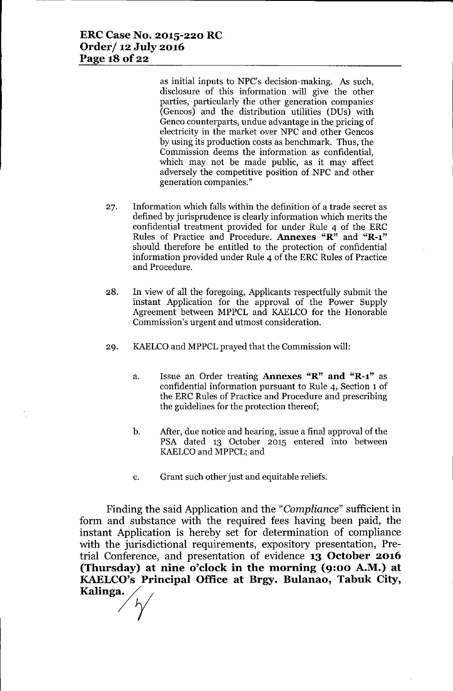as initial inputs to NPC's decision-making. *As* such, disclosure of this information will give the other parties, particularly the other generation companies (Gencos) and the distribution utilities (DUs) with Genco counterparts, undue advantage in the pricing of electricity in the market over NPC and other Gencos by using its production costs as benchmark. Thus, the Commission deems the information as confidential, which may not be made public, as it may affect adversely the competitive position of NPC and other generation companies."

- 27. Information which falls within the definition of a trade secret as defined by jurisprudence is clearly information which merits the confidential treatment provided for under Rule 4 of the ERC Rules of Practice and Procedure. Annexes "R" and "R-l" should therefore be entitled to the protection of confidential information provided under Rule 4 of the ERC Rules of Practice and Procedure.
- 28. In view of all the foregoing, Applicants respectfully submit the instant Application for the approval of the Power Supply Agreement between MPPCL and KAELCO for the Honorable Commission's urgent and utmost consideration.
- 29. KAELCOand MPPCL prayed that the Commission will:
	- a. Issue an Order treating Annexes "R" **and** "R-l" as confidential information pursuant to Rule 4, Section 1 of the ERC Rules of Practice and Procedure and prescribing the guidelines for the protection thereof;
	- b. After, due notice and hearing, issue a final approval of the PSA dated 13 October 2015 entered into between KAELCOand MPPCL; and
	- c. Grant such other just and equitable reliefs.

Finding the said Application and the *"Compliance"* sufficient in form and substance with the required fees having been paid, the instant Application is hereby set for determination of compliance with the jurisdictional requirements, expository presentation, Pretrial Conference, and presentation of evidence **13 October 2016 (Thursday) at nine o'clock in the morning (9:00 A.M.) at KAELCO's Principal Office at Brgy. Bulanao, Tabuk City, Kalinga.<br>** $\bigvee$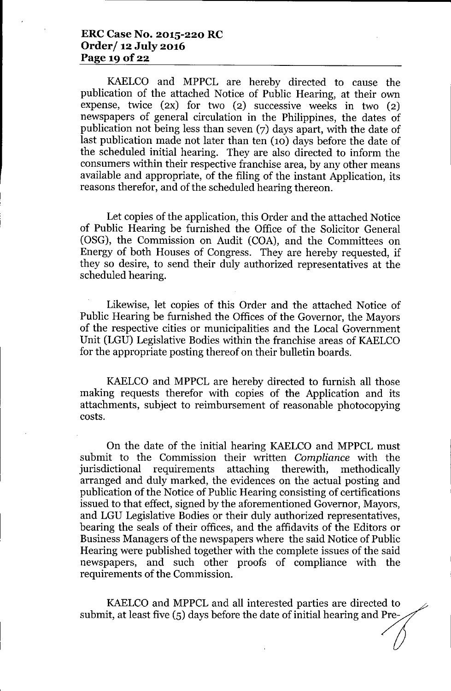## **ERC Case No. 2015-220 RC Order/ 12 July 2016 Page 19 Of22**

KAELCO and MPPCL are hereby directed to cause the publication of the attached Notice of Public Hearing, at their own expense, twice (2X) for two (2) successive weeks in two (2) newspapers of general circulation in the Philippines, the dates of publication not being less than seven (7) days apart, with the date of last publication made not later than ten (10) days before the date of the scheduled initial hearing. They are also directed to inform the consumers within their respective franchise area, by any other means available and appropriate, of the filing of the instant Application, its reasons therefor, and of the scheduled hearing thereon.

Let copies of the application, this Order and the attached Notice of Public Hearing be furnished the Office of the Solicitor General (OSG), the Commission on Audit (COA), and the Committees on Energy of both Houses of Congress. They are hereby requested, if they so desire, to send their duly authorized representatives at the scheduled hearing.

Likewise, let copies of this Order and the attached Notice of Public Hearing be furnished the Offices of the Governor, the Mayors of the respective cities or municipalities and the Local Government Unit (LGU) Legislative Bodies within the franchise areas of KAELCO for the appropriate posting thereof on their bulletin boards.

KAELCO and MPPCL are hereby directed to furnish all those making requests therefor with copies of the Application and its attachments, subject to reimbursement of reasonable photocopying costs.

On the date of the initial hearing KAELCO and MPPCL must submit to the Commission their written *Compliance* with the jurisdictional requirements attaching therewith, methodically arranged and duly marked, the evidences on the actual posting and publication of the Notice of Public Hearing consisting of certifications issued to that effect, signed by the aforementioned Governor, Mayors, and LGU Legislative Bodies or their duly authorized representatives, bearing the seals of their offices, and the affidavits of the Editors or Business Managers of the newspapers where the said Notice of Public Hearing were published together with the complete issues of the said newspapers, and such other proofs of compliance with the requirements of the Commission.

KAELCO and MPPCL and all interested parties are directed to submit, at least five (5) days before the date of initial hearing and Pre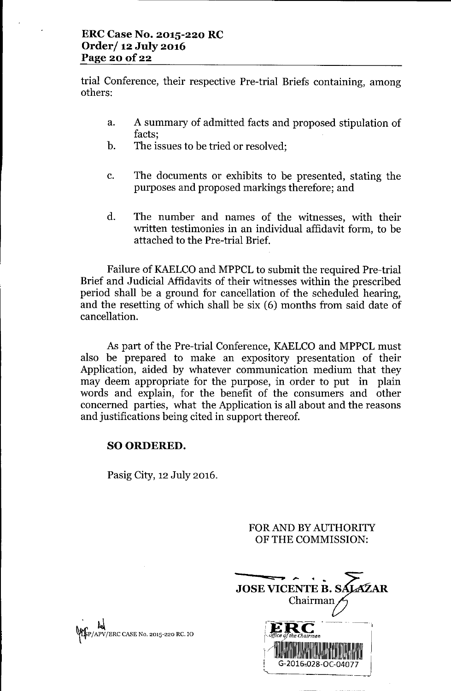trial Conference, their respective Pre-trial Briefs containing, among others:

- a. A summary of admitted facts and proposed stipulation of facts;
- b. The issues to be tried or resolved;
- c. The documents or exhibits to be presented, stating the purposes and proposed markings therefore; and
- d. The number and names of the witnesses, with their written testimonies in an individual affidavit form, to be attached to the Pre-trial Brief.

Failure of KAELCO and MPPCL to submit the required Pre-trial Brief and Judicial Affidavits of their witnesses within the prescribed period shall be a ground for cancellation of the scheduled hearing, and the resetting of which shall be six (6) months from said date of cancellation.

As part of the Pre-trial Conference, KAELCO and MPPCL must also be prepared to make an expository presentation of their Application, aided by whatever communication medium that they may deem appropriate for the purpose, in order to put in plain words and explain, for the benefit of the consumers and other concerned parties, what the Application is all about and the reasons and justifications being cited in support thereof.

# SO ORDERED.

Pasig City, 12 July 2016.

FOR AND BY AUTHORITY OF THE COMMISSION:



.<br>. . . <u>. . .</u> ~P/APV/ERC CASENo. 2015-220 RC.10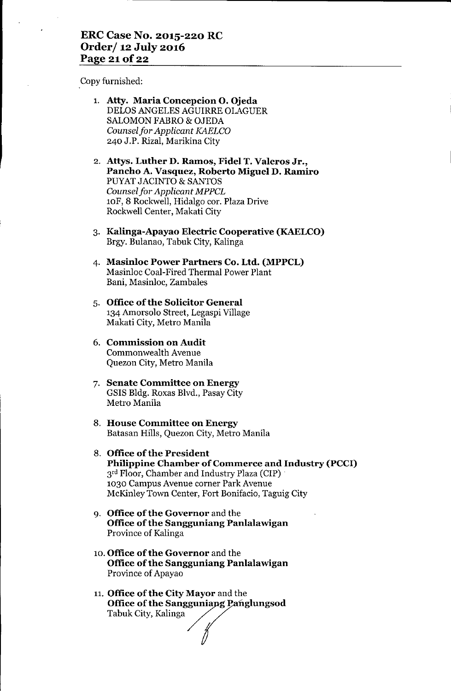## **ERC Case No. 2015-220 RC Order/ 12 July 2016 Page 21** of 22

Copy furnished:

- 1. **Atty. Maria Concepcion o. Ojeda** DELOS ANGELES AGUIRRE OLAGUER SALOMON FABRO & OJEDA *Counselfor Applicant KAELCO* 240 J.P. Rizal, Marikina City
- 2. **Attys. Luther D. Ramos, Fidel T. Valeros Jr., Pancho A. Vasquez, Roberto Miguel D. Ramiro** PUYAT JACINTO & SANTOS *Counsel for Applicant MPPCL* lOF, 8 Rockwell, Hidalgo cor. Plaza Drive Rockwell Center, Makati City
- 3. **Kalinga-Apayao Electric Cooperative (KAELCO)** Brgy. Bulanao, Tabuk City, Kalinga
- 4. **Masinloc Power Partners Co. Ltd. (MPPCL)** Masinloc Coal-Fired Thermal Power Plant Bani, Masinloc, Zambales
- 5. **Office of the Solicitor General** 134 Amorsolo Street, Legaspi Village Makati City, Metro Manila
- 6. **Commission on Audit** Commonwealth Avenue Quezon City, Metro Manila
- 7. **Senate Committee on Energy** GSIS Bldg. Roxas Blvd., Pasay City Metro Manila
- 8. **House Committee on Energy** Batasan Hills, Quezon City, Metro Manila
- 8. **Office** of the **President Philippine Chamber of Commerce and Industry (PCCI)** 3<sup>rd</sup> Floor, Chamber and Industry Plaza (CIP) 1030 Campus Avenue corner Park Avenue McKinley Town Center, Fort Bonifacio, Taguig City
- 9. **Office** of the **Governor** and the **Office** of the **Sangguniang PanlaIawigan** Province of Kalinga
- 10. **Office** of the **Governor** and the **Office of the Sangguniang Panlalawigan** Province of Apayao
- 11. **Office of the City Mayor** and the **Office of the Sangguniang Panglungsod** Tabuk City, Kalinga